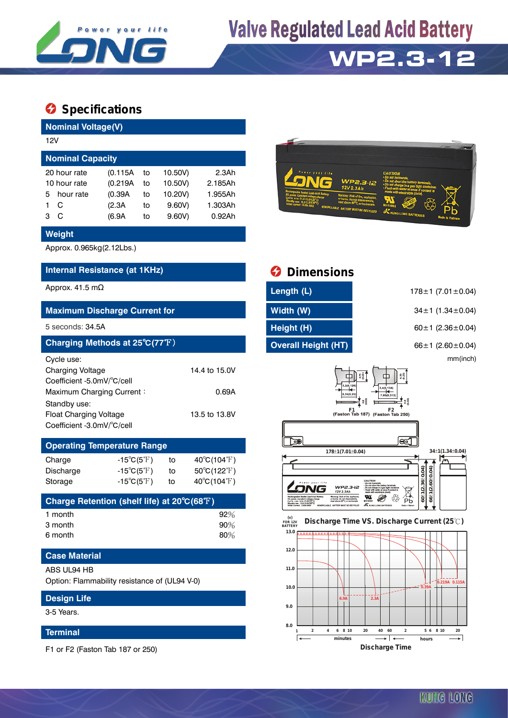

## **Valve Regulated Lead Acid Battery**

### **WP2.3-12**

### $\bullet$  Specifications

| <b>Nominal Voltage(V)</b>                          |           |          |    |         |         |  |  |  |
|----------------------------------------------------|-----------|----------|----|---------|---------|--|--|--|
| 12V                                                |           |          |    |         |         |  |  |  |
| <b>Nominal Capacity</b>                            |           |          |    |         |         |  |  |  |
| 2.3Ah<br>(0.115A)<br>10.50V)<br>20 hour rate<br>to |           |          |    |         |         |  |  |  |
| 10 hour rate                                       |           | (0.219A) | to | 10.50V) | 2.185Ah |  |  |  |
| 5.                                                 | hour rate | (0.39A)  | to | 10.20V) | 1.955Ah |  |  |  |
|                                                    | C         | (2.3A    | to | 9.60V   | 1.303Ah |  |  |  |
| з                                                  | C         | (6.9A    | to | 9.60V   | 0.92Ah  |  |  |  |



| Internal Resistance (at 1KHz)                         |               | <b>Dimensions</b>          |                               |  |  |
|-------------------------------------------------------|---------------|----------------------------|-------------------------------|--|--|
| Approx. 41.5 m $\Omega$                               |               | Length (L)                 | $178 \pm 1$ (7.01 $\pm$ 0.04) |  |  |
| <b>Maximum Discharge Current for</b>                  |               | Width (W)                  | $34 \pm 1$ (1.34 $\pm$ 0.04)  |  |  |
| 5 seconds: 34.5A                                      |               | Height (H)                 | 60 ± 1 $(2.36 \pm 0.04)$      |  |  |
| Charging Methods at 25°C(77°F)                        |               | <b>Overall Height (HT)</b> | 66 $\pm$ 1 (2.60 $\pm$ 0.04)  |  |  |
| Cycle use:                                            |               |                            | mm(inch)                      |  |  |
| <b>Charging Voltage</b><br>Coefficient -5.0mV/°C/cell | 14.4 to 15.0V | 4.75<br>3,2(0,126          | П                             |  |  |
| Maximum Charging Current:<br>Standby use:             | 0.69A         | -35(0.2)                   |                               |  |  |



#### **13.0 FOR 12V BATTERY Discharge Time VS. Discharge Current (25 ℃)**



### Approx. 0.965kg(2.12Lbs.)

**Weight**

| Charging Methods at 25°C(77°F) |               |  |  |  |  |  |  |
|--------------------------------|---------------|--|--|--|--|--|--|
| Cycle use:                     |               |  |  |  |  |  |  |
| <b>Charging Voltage</b>        | 14.4 to 15.0V |  |  |  |  |  |  |
| Coefficient -5.0mV/°C/cell     |               |  |  |  |  |  |  |
| Maximum Charging Current:      | 0.69A         |  |  |  |  |  |  |
| Standby use:                   |               |  |  |  |  |  |  |
| <b>Float Charging Voltage</b>  | 13.5 to 13.8V |  |  |  |  |  |  |
| Coefficient -3.0mV/°C/cell     |               |  |  |  |  |  |  |

#### **Operating Temperature Range** Charge  $-15^{\circ}C(5^{\circ}F)$  to  $40^{\circ}C(104^{\circ}F)$ Discharge  $-15^{\circ}C(5^{\circ}F)$  to  $50^{\circ}C(122^{\circ}F)$ Storage  $-15^{\circ}C(5^{\circ}F)$  to  $40^{\circ}C(104^{\circ}F)$

| Charge Retention (shelf life) at 20°C(68°F) |        |  |  |  |  |
|---------------------------------------------|--------|--|--|--|--|
| 1 month                                     | $92\%$ |  |  |  |  |
| 3 month                                     | $90\%$ |  |  |  |  |
| 6 month                                     | $80\%$ |  |  |  |  |

#### **Case Material**

ABS UL94 HB

Option: Flammability resistance of (UL94 V-0)

#### **Design Life**

3-5 Years.

#### **Terminal**

F1 or F2 (Faston Tab 187 or 250)